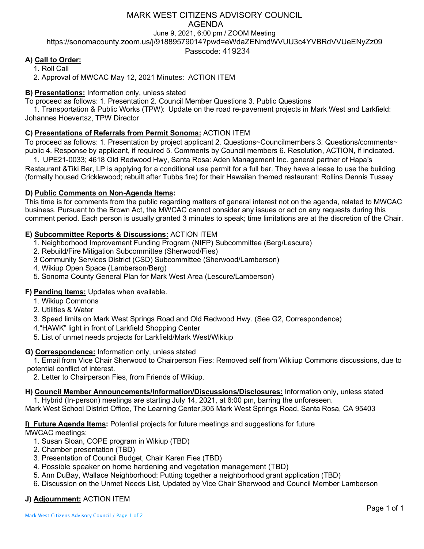## MARK WEST CITIZENS ADVISORY COUNCIL AGENDA June 9, 2021, 6:00 pm / ZOOM Meeting https://sonomacounty.zoom.us/j/91889579014?pwd=eWdaZENmdWVUU3c4YVBRdVVUeENyZz09

Passcode: 419234

# **A) Call to Order:**

1. Roll Call

2. Approval of MWCAC May 12, 2021 Minutes: ACTION ITEM

### **B) Presentations:** Information only, unless stated

To proceed as follows: 1. Presentation 2. Council Member Questions 3. Public Questions

1. Transportation & Public Works (TPW): Update on the road re-pavement projects in Mark West and Larkfield: Johannes Hoevertsz, TPW Director

## **C) Presentations of Referrals from Permit Sonoma:** ACTION ITEM

To proceed as follows: 1. Presentation by project applicant 2. Questions~Councilmembers 3. Questions/comments~ public 4. Response by applicant, if required 5. Comments by Council members 6. Resolution, ACTION, if indicated.

1. UPE21-0033; 4618 Old Redwood Hwy, Santa Rosa: Aden Management Inc. general partner of Hapa's Restaurant &Tiki Bar, LP is applying for a conditional use permit for a full bar. They have a lease to use the building (formally housed Cricklewood; rebuilt after Tubbs fire) for their Hawaiian themed restaurant: Rollins Dennis Tussey

#### **D) Public Comments on Non-Agenda Items:**

This time is for comments from the public regarding matters of general interest not on the agenda, related to MWCAC business. Pursuant to the Brown Act, the MWCAC cannot consider any issues or act on any requests during this comment period. Each person is usually granted 3 minutes to speak; time limitations are at the discretion of the Chair.

## **E) Subcommittee Reports & Discussions:** ACTION ITEM

- 1. Neighborhood Improvement Funding Program (NIFP) Subcommittee (Berg/Lescure)
- 2. Rebuild/Fire Mitigation Subcommittee (Sherwood/Fies)
- 3 Community Services District (CSD) Subcommittee (Sherwood/Lamberson)
- 4. Wikiup Open Space (Lamberson/Berg)
- 5. Sonoma County General Plan for Mark West Area (Lescure/Lamberson)

#### **F) Pending Items:** Updates when available.

- 1. Wikiup Commons
- 2. Utilities & Water
- 3. Speed limits on Mark West Springs Road and Old Redwood Hwy. (See G2, Correspondence)
- 4."HAWK" light in front of Larkfield Shopping Center
- 5. List of unmet needs projects for Larkfield/Mark West/Wikiup

#### **G) Correspondence:** Information only, unless stated

1. Email from Vice Chair Sherwood to Chairperson Fies: Removed self from Wikiiup Commons discussions, due to potential conflict of interest.

2. Letter to Chairperson Fies, from Friends of Wikiup.

**H) Council Member Announcements/Information/Discussions/Disclosures:** Information only, unless stated

1. Hybrid (In-person) meetings are starting July 14, 2021, at 6:00 pm, barring the unforeseen.

Mark West School District Office, The Learning Center,305 Mark West Springs Road, Santa Rosa, CA 95403

**I) Future Agenda Items:** Potential projects for future meetings and suggestions for future

MWCAC meetings:

- 1. Susan Sloan, COPE program in Wikiup (TBD)
- 2. Chamber presentation (TBD)
- 3. Presentation of Council Budget, Chair Karen Fies (TBD)
- 4. Possible speaker on home hardening and vegetation management (TBD)
- 5. Ann DuBay, Wallace Neighborhood: Putting together a neighborhood grant application (TBD)
- 6. Discussion on the Unmet Needs List, Updated by Vice Chair Sherwood and Council Member Lamberson

# **J) Adjournment:** ACTION ITEM